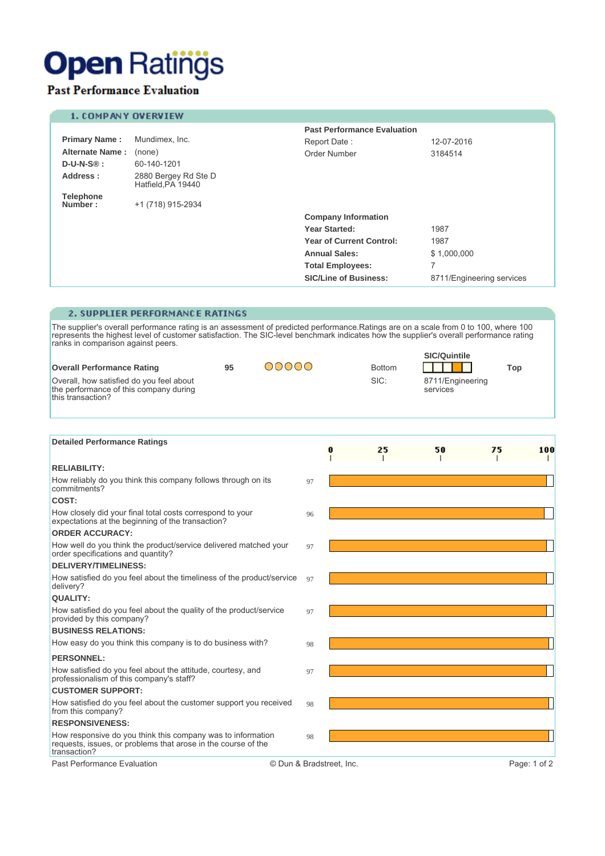## **Open Ratings**

## **Past Performance Evaluation**

### 1. COMPANY OVERVIEW

|                             |                                           | <b>Past Performance Evaluation</b> |                           |  |
|-----------------------------|-------------------------------------------|------------------------------------|---------------------------|--|
| <b>Primary Name:</b>        | Mundimex, Inc.                            | Report Date:                       | 12-07-2016                |  |
| <b>Alternate Name:</b>      | (none)                                    | Order Number                       | 3184514                   |  |
| $D-U-N-S\circledR :$        | 60-140-1201                               |                                    |                           |  |
| Address:                    | 2880 Bergey Rd Ste D<br>Hatfield PA 19440 |                                    |                           |  |
| <b>Telephone</b><br>Number: | +1 (718) 915-2934                         |                                    |                           |  |
|                             |                                           | <b>Company Information</b>         |                           |  |
|                             |                                           | Year Started:                      | 1987                      |  |
|                             |                                           | <b>Year of Current Control:</b>    | 1987                      |  |
|                             |                                           | <b>Annual Sales:</b>               | \$1,000,000               |  |
|                             |                                           | <b>Total Employees:</b>            | 7                         |  |
|                             |                                           | <b>SIC/Line of Business:</b>       | 8711/Engineering services |  |

### 2. SUPPLIER PERFORMANCE RATINGS

The supplier's overall performance rating is an assessment of predicted performance. Ratings are on a scale from 0 to 100, where 100 represents the highest level of customer satisfaction. The SIC-level benchmark indicates  $CIC(0...1...1)$ 

|                                                                                     |  |       |               | <b>SIC/Quintile</b>          |     |
|-------------------------------------------------------------------------------------|--|-------|---------------|------------------------------|-----|
| <b>Overall Performance Rating</b><br>95<br>Overall, how satisfied do you feel about |  | DOOOO | <b>Bottom</b> |                              | Top |
| the performance of this company during<br>this transaction?                         |  |       | SIC:          | 8711/Engineering<br>services |     |

| <b>Detailed Performance Ratings</b>                                                                                                          |                          | 25 | 50 | 75 | 100          |
|----------------------------------------------------------------------------------------------------------------------------------------------|--------------------------|----|----|----|--------------|
|                                                                                                                                              |                          |    |    |    |              |
| <b>RELIABILITY:</b>                                                                                                                          |                          |    |    |    |              |
| How reliably do you think this company follows through on its<br>commitments?                                                                | 97                       |    |    |    |              |
| COST:                                                                                                                                        |                          |    |    |    |              |
| How closely did your final total costs correspond to your<br>expectations at the beginning of the transaction?                               | 96                       |    |    |    |              |
| <b>ORDER ACCURACY:</b>                                                                                                                       |                          |    |    |    |              |
| How well do you think the product/service delivered matched your<br>order specifications and quantity?                                       | 97                       |    |    |    |              |
| <b>DELIVERY/TIMELINESS:</b>                                                                                                                  |                          |    |    |    |              |
| How satisfied do you feel about the timeliness of the product/service<br>delivery?                                                           | 97                       |    |    |    |              |
| <b>QUALITY:</b>                                                                                                                              |                          |    |    |    |              |
| How satisfied do you feel about the quality of the product/service<br>provided by this company?                                              | 97                       |    |    |    |              |
| <b>BUSINESS RELATIONS:</b>                                                                                                                   |                          |    |    |    |              |
| How easy do you think this company is to do business with?                                                                                   | 98                       |    |    |    |              |
| <b>PERSONNEL:</b>                                                                                                                            |                          |    |    |    |              |
| How satisfied do you feel about the attitude, courtesy, and<br>professionalism of this company's staff?                                      | 97                       |    |    |    |              |
| <b>CUSTOMER SUPPORT:</b>                                                                                                                     |                          |    |    |    |              |
| How satisfied do you feel about the customer support you received<br>from this company?                                                      | 98                       |    |    |    |              |
| <b>RESPONSIVENESS:</b>                                                                                                                       |                          |    |    |    |              |
| How responsive do you think this company was to information<br>requests, issues, or problems that arose in the course of the<br>transaction? | 98                       |    |    |    |              |
| Past Performance Evaluation                                                                                                                  | © Dun & Bradstreet, Inc. |    |    |    | Page: 1 of 2 |